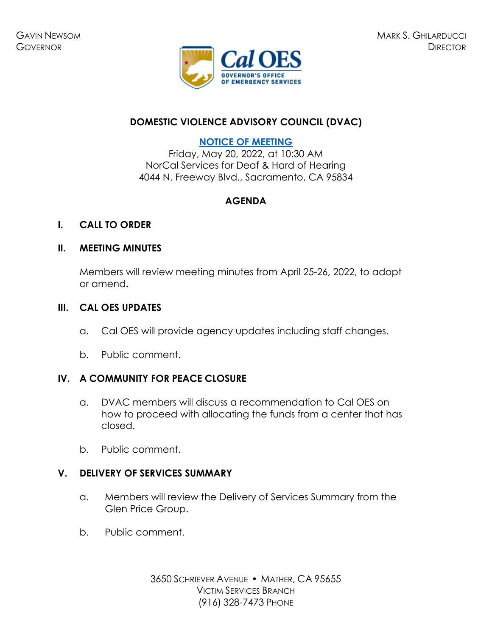

## **DOMESTIC VIOLENCE ADVISORY COUNCIL (DVAC)**

## **[NOTICE OF MEETING](https://www.caloes.ca.gov/cal-oes-divisions/grants-management/victim-services/meeting-public-notices)**

Friday, May 20, 2022, at 10:30 AM NorCal Services for Deaf & Hard of Hearing 4044 N. Freeway Blvd., Sacramento, CA 95834

# **AGENDA**

### **I. CALL TO ORDER**

### **II. MEETING MINUTES**

Members will review meeting minutes from April 25-26, 2022, to adopt or amend**.** 

### **III. CAL OES UPDATES**

- a. Cal OES will provide agency updates including staff changes.
- b. Public comment.

## **IV. A COMMUNITY FOR PEACE CLOSURE**

- a. DVAC members will discuss a recommendation to Cal OES on how to proceed with allocating the funds from a center that has closed.
- b. Public comment.

## **V. DELIVERY OF SERVICES SUMMARY**

- a. Members will review the Delivery of Services Summary from the Glen Price Group.
- b. Public comment.

3650 SCHRIEVER AVENUE · MATHER, CA 95655 VICTIM SERVICES BRANCH (916) 328-7473 PHONE